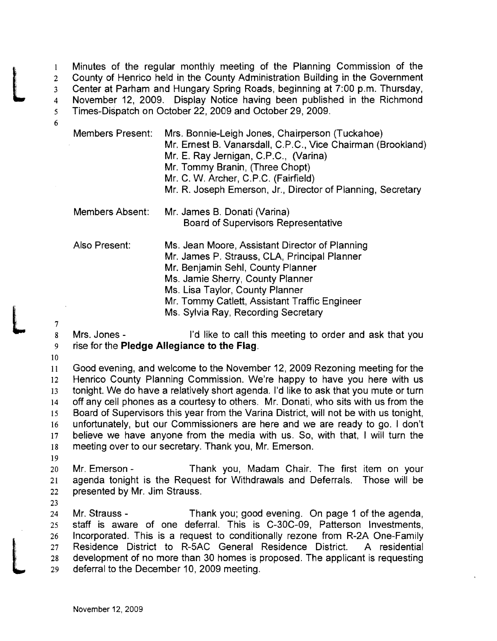Minutes of the regular monthly meeting of the Planning Commission of the 2 County of Henrico held in the County Administration Building in the Government<br>3 Center at Parham and Hungary Spring Roads, beginning at 7:00 p.m. Thursday,<br>4 November 12, 2009. Display Notice having been published in th Center at Parham and Hungary Spring Roads, beginning at 7:00 p.m. Thursday, Times-Dispatch on October 22,2009 and October 29,2009.

| <b>Members Present:</b> | Mrs. Bonnie-Leigh Jones, Chairperson (Tuckahoe)<br>Mr. Ernest B. Vanarsdall, C.P.C., Vice Chairman (Brookland)<br>Mr. E. Ray Jernigan, C.P.C., (Varina)<br>Mr. Tommy Branin, (Three Chopt)<br>Mr. C. W. Archer, C.P.C. (Fairfield)<br>Mr. R. Joseph Emerson, Jr., Director of Planning, Secretary  |
|-------------------------|----------------------------------------------------------------------------------------------------------------------------------------------------------------------------------------------------------------------------------------------------------------------------------------------------|
| Members Absent:         | Mr. James B. Donati (Varina)<br><b>Board of Supervisors Representative</b>                                                                                                                                                                                                                         |
| Also Present:           | Ms. Jean Moore, Assistant Director of Planning<br>Mr. James P. Strauss, CLA, Principal Planner<br>Mr. Benjamin Sehl, County Planner<br>Ms. Jamie Sherry, County Planner<br>Ms. Lisa Taylor, County Planner<br>Mr. Tommy Catlett, Assistant Traffic Engineer<br>Ms. Sylvia Ray, Recording Secretary |

 $\begin{array}{c} 7 \\ 8 \end{array}$ 

6

8 Mrs. Jones - I'd like to call this meeting to order and ask that you 9 rise for the **Pledge Allegiance to the Flag.** 

10

Good evening, and welcome to the November 12, 2009 Rezoning meeting for the 12 Henrico County Planning Commission. We're happy to have you here with us tonight. We do have a relatively short agenda. I'd like to ask that you mute or turn 14 off any cell phones as a courtesy to others. Mr. Donati, who sits with us from the Board of Supervisors this year from the Varina District, will not be with us tonight, unfortunately, but our Commissioners are here and we are ready to go. I don't believe we have anyone from the media with us. So, with that, I will turn the meeting over to our secretary. Thank you, Mr. Emerson.

19

20 Mr. Emerson - Thank you, Madam Chair. The first item on your 21 agenda tonight is the Request for Withdrawals and Deferrals. Those will be 22 presented by Mr. Jim Strauss.

23

L

Mr. Strauss - Thank you; good evening. On page 1 of the agenda, staff is aware of one deferral. This is C-30C-09, Patterson Investments, Incorporated. This is a request to conditionally rezone from R-2A One-Family Residence District to R-SAC General Residence District. A residential development of no more than 30 homes is proposed. The applicant is requesting deferral to the December 10,2009 meeting.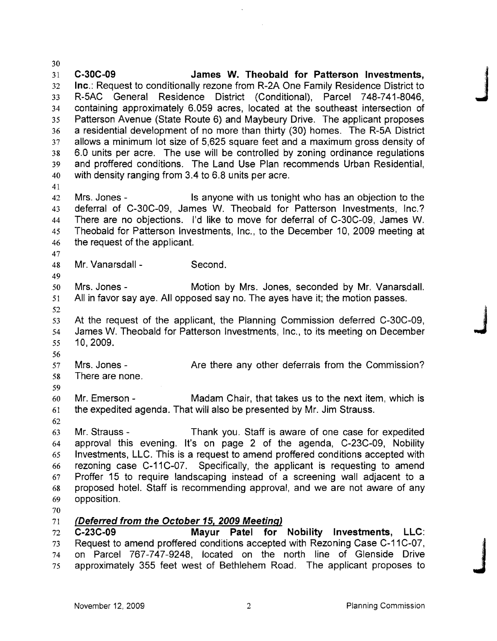C-30C-09 James W. Theobald for Patterson Investments, Inc.: Request to conditionally rezone from R-2A One Family Residence District to R~5AC General Residence District (Conditional), Parcel 748-741-8046, J containing approximately 6.059 acres, located at the southeast intersection of Patterson Avenue (State Route 6) and Maybeury Drive. The applicant proposes a residential development of no more than thirty (30) homes. The R-5A District allows a minimum lot size of 5,625 square feet and a maximum gross density of 6.0 units per acre. The use will be controlled by zoning ordinance regulations and proffered conditions. The Land Use Plan recommends Urban Residential, with density ranging from 3.4 to 6.8 units per acre. 42 Mrs. Jones - Is anyone with us tonight who has an objection to the deferral of C~30C-09, James W. Theobald for Patterson Investments, Inc.? There are no objections. I'd like to move for deferral of C~30C-09, James W. Theobald for Patterson Investments, Inc., to the December 10, 2009 meeting at the request of the applicant. Mr. Vanarsdall - Second. Mrs. Jones - Motion by Mrs. Jones, seconded by Mr. Vanarsdall. All in favor say aye. All opposed say no. The ayes have it; the motion passes. 52<br>53 At the request of the applicant, the Planning Commission deferred C-30C-09,<br>54 James W. Theobald for Patterson Investments, Inc., to its meeting on December 10,2009. Mrs. Jones - Are there any other deferrals from the Commission? There are none. Mr. Emerson - Madam Chair, that takes us to the next item, which is the expedited agenda. That will also be presented by Mr. Jim Strauss. Mr. Strauss - Thank you. Staff is aware of one case for expedited approval this evening. It's on page 2 of the agenda, C-23C-09, Nobility Investments, LLC. This is a request to amend proffered conditions accepted with rezoning case C-11C-07. Specifically, the applicant is requesting to amend 67 Proffer 15 to require landscaping instead of a screening wall adjacent to a proposed hotel. Staff is recommending approval, and we are not aware of any opposition. (Deferred from the October 15, 2009 Meeting) 72 C-23C-09 Mayur Patel for Nobility Investments, LLC: 73 Request to amend proffered conditions accepted with Rezoning Case C-11C-07, on Parcel 767-747-9248, located on the north line of Glenside Drive 75 approximately 355 feet west of Bethlehem Road. The applicant proposes to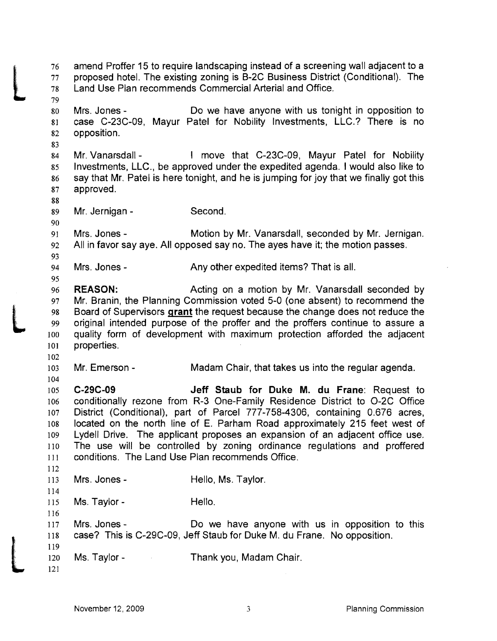26 amend Proffer 15 to require landscaping instead of a screening wall adjacent to a<br>27 proposed hotel. The existing zoning is B-2C Business District (Conditional). The<br>28 Land Use Plan recommends Commercial Arterial and O proposed hotel. The existing zoning is B-2C Business District (Conditional). The Land Use Plan recommends Commercial Arterial and Office. L Mrs. Jones - Do we have anyone with us tonight in opposition to case C-23C-09, Mayur Patel for Nobility Investments, LLC.? There is no opposition. Mr. Vanarsdall - I move that C-23C-09, Mayur Patel for Nobility Investments, LLC., be approved under the expedited agenda. I would also like to say that Mr. Patel is here tonight, and he is jumping for joy that we finally got this approved. Mr. Jernigan - Second. Mrs. Jones - Motion by Mr. Vanarsdall, seconded by Mr. Jernigan. All in favor say aye. All opposed say no. The ayes have it; the motion passes. Mrs. Jones - Any other expedited items? That is all. REASON: Acting on a motion by Mr. Vanarsdall seconded by 97 Mr. Branin, the Planning Commission voted 5-0 (one absent) to recommend the 98 Board of Supervisors grant the request because the change does not reduce the 99 original intended purpose of the proffer and the proffers continue to assure a quality form of development with maximum protection afforded the adjacent properties. Mr. Emerson - Madam Chair, that takes us into the regular agenda. C-29C-09 Jeff Staub for Duke M. du Frane: Request to conditionally rezone from R-3 One-Family Residence District to 0-2C Office District (Conditional). part of Parcel 777-758-4306, containing 0.676 acres, located on the north line of E. Parham Road approximately 215 feet west of Lydell Drive. The applicant proposes an expansion of an adjacent office use. The use will be controlled by zoning ordinance regulations and proffered III conditions. The Land Use Plan recommends Office. Mrs. Jones - Hello, Ms. Taylor. 115 Ms. Taylor - Hello. Mrs. Jones - Do we have anyone with us in opposition to this case? This is C-29C-09, Jeff Staub for Duke M. du Frane. No opposition.  $\begin{bmatrix} 119 \\ 120 \\ 121 \end{bmatrix}$ Ms. Taylor- Thank you, Madam Chair.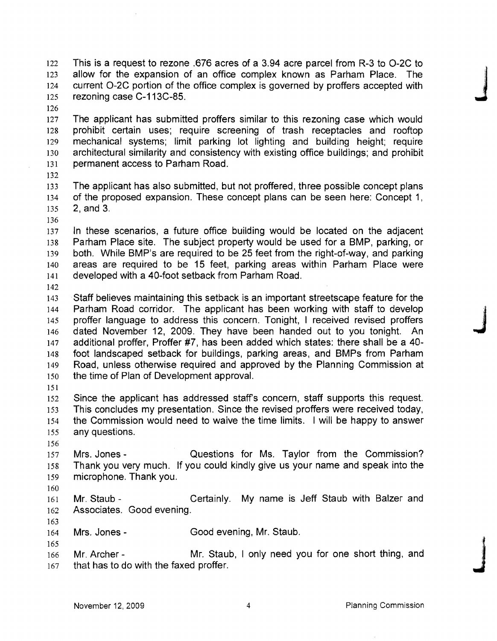This is a request to rezone .676 acres of a 3.94 acre parcel from R-3 to 0-2C to allow for the expansion of an office complex known as Parham Place. The current 0-2C portion of the office complex is governed by proffers accepted with This is a request to rezone to o acres or a 3.94 acre parcel from R-3 to O-2C to<br>123 allow for the expansion of an office complex known as Parham Place. The<br>124 current O-2C portion of the office complex is governed by pro

The applicant has submitted proffers similar to this rezoning case which would prohibit certain uses; require screening of trash receptacles and rooftop mechanical systems; limit parking lot lighting and building height; require architectural similarity and consistency with existing office buildings; and prohibit permanent access to Parham Road.

The applicant has also submitted, but not proffered, three possible concept plans of the proposed expansion. These concept plans can be seen here: Concept 1, 2, and 3.

In these scenarios, a future office building would be located on the adjacent Parham Place site. The subject property would be used for a BMP, parking, or both. While BMP's are required to be 25 feet from the right-of-way, and parking areas are required to be 15 feet, parking areas within Parham Place were developed with a 40-foot setback from Parham Road.

Staff believes maintaining this setback is an important streetscape feature for the Parham Road corridor. The applicant has been working with staff to develop proffer language to address this concern. Tonight, I received revised proffers 146 dated November 12, 2009. They have been handed out to you tonight. An 147 additional proffer. Proffer #7, has been added which states: there shall be a 40additional proffer, Proffer #7, has been added which states: there shall be a 40-foot landscaped setback for buildings, parking areas, and BMPs from Parham Road, unless otherwise required and approved by the Planning Commission at the time of Plan of Development approval.

Since the applicant has addressed staffs concern, staff supports this request. This concludes my presentation. Since the revised proffers were received today, the Commission would need to waive the time limits. I will be happy to answer any questions.

Mrs. Jones - Questions for Ms. Taylor from the Commission? Thank you very much. If you could kindly give us your name and speak into the microphone. Thank you.

161 Mr. Staub - Certainly. My name is Jeff Staub with Balzer and 162 Associates. Good evening.

Mrs. Jones- Good evening, Mr. Staub.

Mr. Archer - Mr. Staub, I only need you for one short thing, and 164 Mrs. bones - Cood evening, Mr. Stads.<br>165<br>166 Mr. Archer - Mr. Staub, I only need you for one short thing, and<br>167 that has to do with the faxed proffer.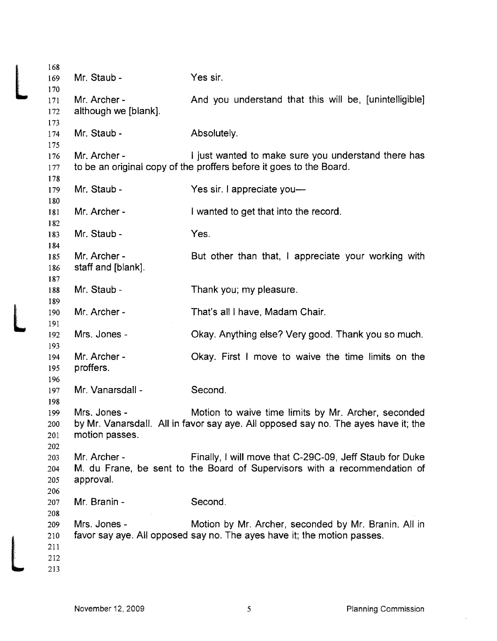| 168<br>169 | Mr. Staub -          | Yes sir.                                                                           |
|------------|----------------------|------------------------------------------------------------------------------------|
| 170        |                      |                                                                                    |
| 171        | Mr. Archer -         | And you understand that this will be, [unintelligible]                             |
| 172        | although we [blank]. |                                                                                    |
| 173        |                      |                                                                                    |
| 174        | Mr. Staub -          | Absolutely.                                                                        |
| 175        |                      |                                                                                    |
| 176        | Mr. Archer -         | I just wanted to make sure you understand there has                                |
| 177        |                      | to be an original copy of the proffers before it goes to the Board.                |
| 178        |                      |                                                                                    |
| 179        | Mr. Staub -          | Yes sir. I appreciate you-                                                         |
| 180        | Mr. Archer -         |                                                                                    |
| 181<br>182 |                      | I wanted to get that into the record.                                              |
| 183        | Mr. Staub -          | Yes.                                                                               |
| 184        |                      |                                                                                    |
| 185        | Mr. Archer -         | But other than that, I appreciate your working with                                |
| 186        | staff and [blank].   |                                                                                    |
| 187        |                      |                                                                                    |
| 188        | Mr. Staub -          | Thank you; my pleasure.                                                            |
| 189        |                      |                                                                                    |
| 190        | Mr. Archer -         | That's all I have, Madam Chair.                                                    |
| 191        |                      |                                                                                    |
| 192        | Mrs. Jones -         | Okay. Anything else? Very good. Thank you so much.                                 |
| 193        |                      |                                                                                    |
| 194        | Mr. Archer -         | Okay. First I move to waive the time limits on the                                 |
| 195        | proffers.            |                                                                                    |
| 196        |                      |                                                                                    |
| 197        | Mr. Vanarsdall -     | Second.                                                                            |
| 198        |                      |                                                                                    |
| 199        | Mrs. Jones -         | Motion to waive time limits by Mr. Archer, seconded                                |
| 200        |                      | by Mr. Vanarsdall. All in favor say aye. All opposed say no. The ayes have it; the |
| 201        | motion passes.       |                                                                                    |
| 202        |                      |                                                                                    |
| 203        | Mr. Archer -         | Finally, I will move that C-29C-09, Jeff Staub for Duke                            |
| 204        | approval.            | M. du Frane, be sent to the Board of Supervisors with a recommendation of          |
| 205<br>206 |                      |                                                                                    |
| 207        | Mr. Branin -         | Second.                                                                            |
| 208        |                      |                                                                                    |
| 209        | Mrs. Jones -         | Motion by Mr. Archer, seconded by Mr. Branin. All in                               |
| 210        |                      | favor say aye. All opposed say no. The ayes have it; the motion passes.            |
| 211        |                      |                                                                                    |
| 212        |                      |                                                                                    |
| 213        |                      |                                                                                    |
|            |                      |                                                                                    |

 $\hat{\boldsymbol{\beta}}$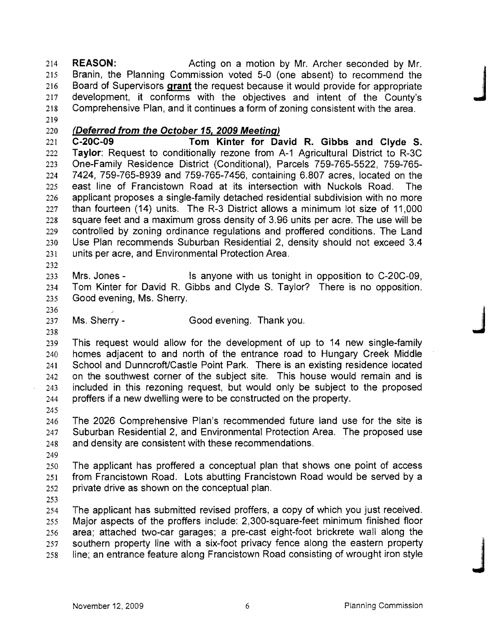REASON: Acting on a motion by Mr. Archer seconded by Mr. Branin, the Planning Commission voted 5-0 (one absent) to recommend the 216 Board of Supervisors grant the request because it would provide for appropriate EXEXUM.<br>
215 Branin, the Planning Commission voted 5-0 (one absent) to recommend the<br>
216 Board of Supervisors **grant** the request because it would provide for appropriate<br>
217 development, it conforms with the objectives Comprehensive Plan, and it continues a form of zoning consistent with the area. 

(Deferred from the October 15, 2009 Meeting)

C-20C-09 Tom Kinter for David R. Gibbs and Clyde S. Taylor: Request to conditionally rezone from A-1 Agricultural District to R-3C One-Family Residence District (Conditional), Parcels 759-765-5522, 759-765 7424, 759-765-8939 and 759-765-7456, containing 6.807 acres, located on the east line of Francistown Road at its intersection with Nuckols Road. The applicant proposes a single-family detached residential subdivision with no more than fourteen (14) units. The R-3 District allows a minimum lot size of 11,000 square feet and a maximum gross density of 3.96 units per acre. The use will be controlled by zoning ordinance regulations and proffered conditions. The Land Use Plan recommends Suburban Residential 2, density should not exceed 3.4 units per acre, and Environmental Protection Area.

Mrs. Jones - Is anyone with us tonight in opposition to C-20C-09, Tom Kinter for David R. Gibbs and Clyde S. Taylor? There is no opposition. Good evening, Ms. Sherry.

236<br>237 Ms. Sherry - Good evening. Thank you.<br>238 This request would allow for the development of up to 14 new single-family homes adjacent to and north of the entrance road to Hungary Creek Middle School and DunncroftlCastle Point Park. There is an existing residence located on the southwest corner of the subject site. This house would remain and is included in this rezoning request, but would only be subject to the proposed

proffers if a new dwelling were to be constructed on the property. 

The 2026 Comprehensive Plan's recommended future land use for the site is Suburban Residential 2, and Environmental Protection Area. The proposed use and density are consistent with these recommendations. .

The applicant has proffered a conceptual plan that shows one point of access from Francistown Road. Lots abutting Francistown Road would be served by a private drive as shown on the conceptual plan.

The applicant has submitted revised proffers, a copy of which you just received. Major aspects of the proffers include: 2,300-square-feet minimum finished floor area; attached two-car garages; a pre-cast eight-foot brickrete wall along the 257 southern property line with a six-foot privacy fence along the eastern property line; an entrance feature along Francistown Road consisting of wrought iron style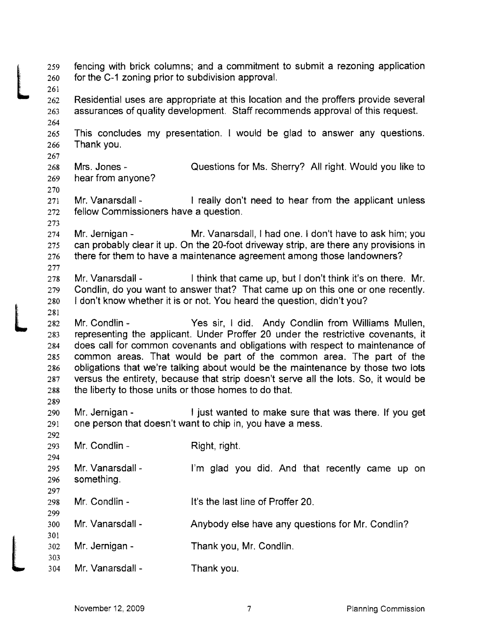$\begin{array}{c}\n\begin{array}{c}\n\begin{array}{c}\n\begin{array}{c}\n\end{array}\n\end{array} \\
\begin{array}{c}\n\end{array}\n\end{array} \\
\begin{array}{c}\n\begin{array}{c}\n\end{array}\n\end{array} \\
\begin{array}{c}\n\end{array}\n\end{array} \\
\begin{array}{c}\n\begin{array}{c}\n\end{array}\n\end{array} \\
\begin{array}{c}\n\end{array}\n\end{array} \\
\begin{array}{c}\n\begin{array}{c}\n\end{array}\n\end{array} \\
\begin{array}{c}\n\end{array}\n\end{array} \\
\begin{array}{c}\n\begin{array$ fencing with brick columns; and a commitment to submit a rezoning application for the C-1 zoning prior to subdivision approval. Residential uses are appropriate at this location and the proffers provide several assurances of quality development. Staff recommends approval of this request. This concludes my presentation. I would be glad to answer any questions. Thank you. Mrs. Jones- Questions for Ms. Sherry? All right. Would you like to hear from anyone? 271 Mr. Vanarsdall - I really don't need to hear from the applicant unless fellow Commissioners have a question. Mr. Jernigan - Mr. Vanarsdall, I had one. I don't have to ask him; you can probably clear it up. On the 20-foot driveway strip, are there any provisions in there for them to have a maintenance agreement among those landowners? 278 Mr. Vanarsdall - I think that came up, but I don't think it's on there. Mr. Condlin, do you want to answer that? That came up on this one or one recently. 280 I don't know whether it is or not. You heard the question, didn't you? <br> $281$ <br> $282$ <br> $283$ Mr. Condlin - Yes sir, I did. Andy Condlin from Williams Mullen, representing the applicant. Under Proffer 20 under the restrictive covenants, it does call for common covenants and obligations with respect to maintenance of common areas. That would be part of the common area. The part of the obligations that we're talking about would be the maintenance by those two lots versus the entirety, because that strip doesn't serve all the lots. So, it would be the liberty to those units or those homes to do that. Mr. Jernigan - I just wanted to make sure that was there. If you get one person that doesn't want to chip in, you have a mess. Mr. Condlin - Right, right. 295 Mr. Vanarsdall - I'm glad you did. And that recently came up on something. Mr. Condlin - It's the last line of Proffer 20. Mr. Vanarsdall - Anybody else have any questions for Mr. Condlin? L Mr. Jernigan - Thank you, Mr. Condlin. Mr. Vanarsdall - Thank you.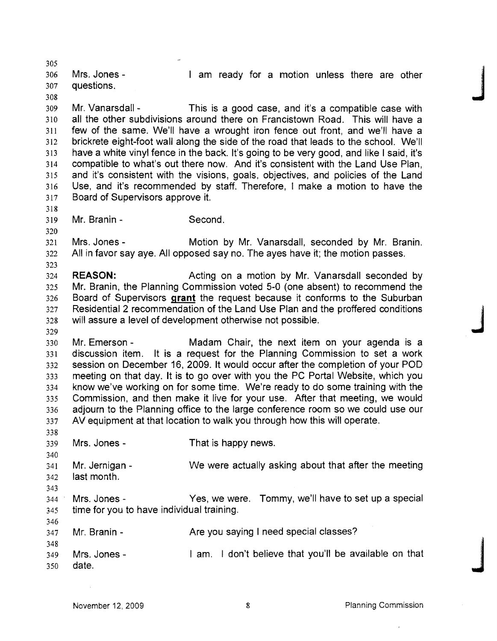Mrs. Jones - I am ready for a motion unless there are other questions. 303<br>306 Mrs. Jones - I am ready for a motion unless there are other<br>308 Mr Vanarsdall - This is a good case and it's a compatible case with Mr. Vanarsdall - This is a good case, and it's a compatible case with all the other subdivisions around there on Francistown Road. This will have a few of the same. We'll have a wrought iron fence out front, and we'll have a brickrete eight-foot wall along the side of the road that leads to the school. We'll have a white vinyl fence in the back. It's going to be very good, and like I said, it's compatible to what's out there now. And it's consistent with the Land Use Plan, and it's consistent with the visions, goals, objectives, and policies of the Land Use, and it's recommended by staff. Therefore, I make a motion to have the Board of Supervisors approve it. Mr. Branin - Second. Mrs. Jones - Motion by Mr. Vanarsdall, seconded by Mr. Branin. All in favor say aye. All opposed say no. The ayes have it; the motion passes. **REASON:** Acting on a motion by Mr. Vanarsdall seconded by Mr. Branin, the Planning Commission voted 5-0 (one absent) to recommend the Board of Supervisors **grant** the request because it conforms to the Suburban Residential 2 recommendation of the Land Use Plan and the proffered conditions<br>
328 will assure a level of development otherwise not possible. Mr. Emerson - Madam Chair, the next item on your agenda is a discussion item. It is a request for the Planning Commission to set a work session on December 16, 2009. It would occur after the completion of your POD meeting on that day. It is to go over with you the PC Portal Website, which you know we've working on for some time. We're ready to do some training with the Commission, and then make it live for your use. After that meeting, we would adjourn to the Planning office to the large conference room so we could use our AV equipment at that location to walk you through how this will operate. Mrs. Jones - That is happy news. Mr. Jernigan - We were actually asking about that after the meeting last month. Mrs. Jones - Yes, we were. Tommy, we'll have to set up a special time for you to have individual training. Mr. Branin - Are you saying I need special classes? Mrs. Jones - I am. I don't believe that you'll be available on that <br>348 Mrs. Jones - I am. I don't believe that you'll be available on that<br>350 date.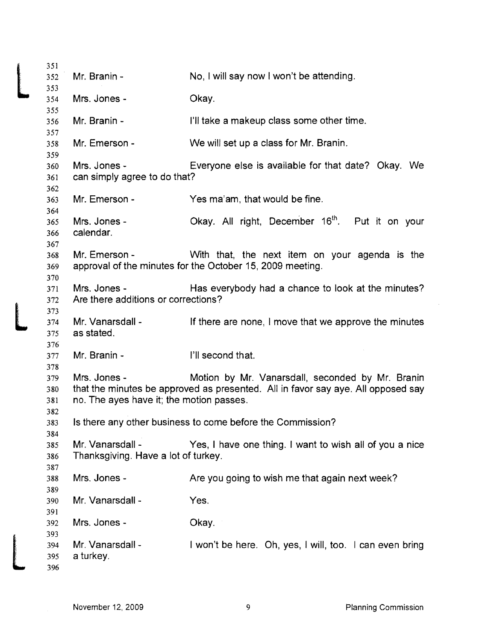|     | 351<br>352 | Mr. Branin -                                               | No, I will say now I won't be attending.                                         |  |
|-----|------------|------------------------------------------------------------|----------------------------------------------------------------------------------|--|
|     | 353        |                                                            |                                                                                  |  |
|     | 354        | Mrs. Jones -                                               | Okay.                                                                            |  |
|     | 355<br>356 | Mr. Branin -                                               | I'll take a makeup class some other time.                                        |  |
|     | 357        |                                                            |                                                                                  |  |
|     | 358        | Mr. Emerson -                                              | We will set up a class for Mr. Branin.                                           |  |
|     | 359        |                                                            |                                                                                  |  |
|     | 360        | Mrs. Jones -                                               | Everyone else is available for that date? Okay. We                               |  |
|     | 361        | can simply agree to do that?                               |                                                                                  |  |
|     | 362        |                                                            |                                                                                  |  |
|     | 363        | Mr. Emerson -                                              | Yes ma'am, that would be fine.                                                   |  |
|     | 364<br>365 | Mrs. Jones -                                               | Okay. All right, December 16 <sup>th</sup> . Put it on your                      |  |
|     | 366        | calendar.                                                  |                                                                                  |  |
|     | 367        |                                                            |                                                                                  |  |
|     | 368        | Mr. Emerson -                                              | With that, the next item on your agenda is the                                   |  |
|     | 369        |                                                            | approval of the minutes for the October 15, 2009 meeting.                        |  |
|     | 370        |                                                            |                                                                                  |  |
|     | 371        | Mrs. Jones -                                               | Has everybody had a chance to look at the minutes?                               |  |
|     | 372        | Are there additions or corrections?                        |                                                                                  |  |
|     | 373        |                                                            |                                                                                  |  |
|     | 374        | Mr. Vanarsdall -                                           | If there are none, I move that we approve the minutes                            |  |
|     | 375        | as stated.                                                 |                                                                                  |  |
|     | 376        | Mr. Branin -                                               | I'll second that.                                                                |  |
|     | 377<br>378 |                                                            |                                                                                  |  |
|     | 379        | Mrs. Jones -                                               | Motion by Mr. Vanarsdall, seconded by Mr. Branin                                 |  |
|     | 380        |                                                            | that the minutes be approved as presented. All in favor say aye. All opposed say |  |
|     | 381        | no. The ayes have it; the motion passes.                   |                                                                                  |  |
|     | 382        |                                                            |                                                                                  |  |
|     | 383        | Is there any other business to come before the Commission? |                                                                                  |  |
| 384 |            |                                                            |                                                                                  |  |
|     | 385        | Mr. Vanarsdall -                                           | Yes, I have one thing. I want to wish all of you a nice                          |  |
|     | 386        | Thanksgiving. Have a lot of turkey.                        |                                                                                  |  |
|     | 387        |                                                            |                                                                                  |  |
|     | 388        | Mrs. Jones -                                               | Are you going to wish me that again next week?                                   |  |
|     | 389        |                                                            |                                                                                  |  |
|     | 390        | Mr. Vanarsdall -                                           | Yes.                                                                             |  |
|     | 391<br>392 | Mrs. Jones -                                               | Okay.                                                                            |  |
|     | 393        |                                                            |                                                                                  |  |
|     | 394        | Mr. Vanarsdall -                                           | I won't be here. Oh, yes, I will, too. I can even bring                          |  |
|     | 395        | a turkey.                                                  |                                                                                  |  |
|     | 396        |                                                            |                                                                                  |  |
|     |            |                                                            |                                                                                  |  |